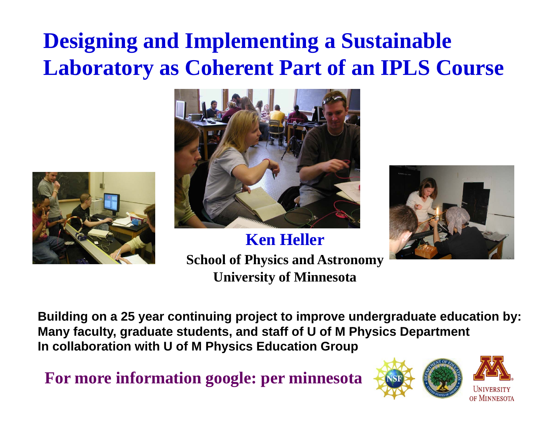# **Designing and Implementing a Sustainable Laboratory as Coherent Part of an IPLS Course**





**Ken HellerSchool of Physics and Astronomy University of Minnesota**



**Building on a 25 year continuing project to improve undergraduate education by: Many faculty, graduate students, and staff of U of M Physics Department In collaboration with U of M Physics Education Group**

**For more information google: per minnesota**

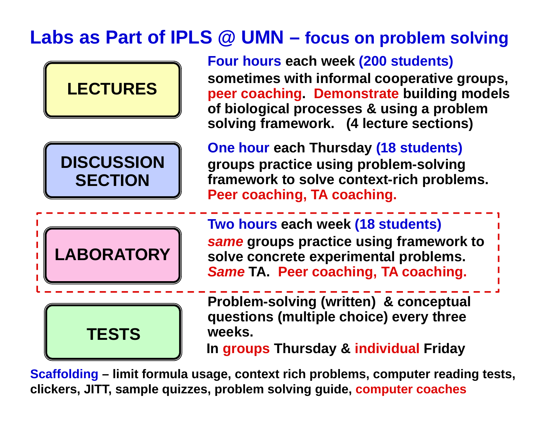## **Labs as Part of IPLS @ UMN – focus on problem solving**



**Scaffolding – limit formula usage, context rich problems, computer reading tests, clickers, JITT, sample quizzes, problem solving guide, computer coaches**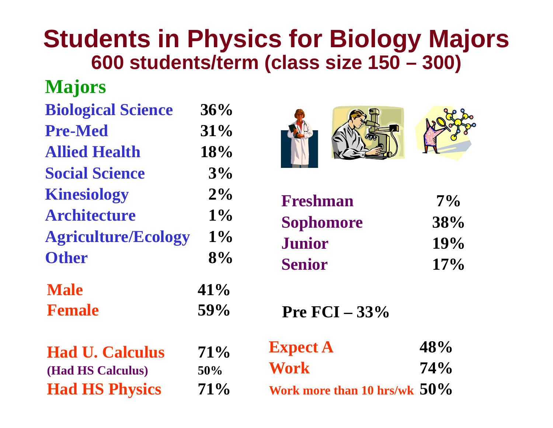# **Students in Physics for Biology Majors 600 students/term (class size 150 – 300)**

### **Majors**

| <b>Biological Science</b>  | 36%   |
|----------------------------|-------|
| <b>Pre-Med</b>             | 31%   |
| <b>Allied Health</b>       | 18%   |
| <b>Social Science</b>      | 3%    |
| <b>Kinesiology</b>         | $2\%$ |
| <b>Architecture</b>        | $1\%$ |
| <b>Agriculture/Ecology</b> | $1\%$ |
| <b>Other</b>               | 8%    |
| <b>Male</b>                | 41%   |
| <b>Female</b>              | 59%   |
| <b>Had U. Calculus</b>     | 71%   |
| (Had HS Calculus)          | 50%   |
| <b>Had HS Physics</b>      | 71%   |





| Freshman         | $7\%$ |
|------------------|-------|
| <b>Sophomore</b> | 38%   |
| <b>Junior</b>    | 19%   |
| <b>Senior</b>    | 17%   |

**Pre FCI – 33%** 

| <b>Expect A</b>                 | 48%    |
|---------------------------------|--------|
| <b>Work</b>                     | $74\%$ |
| Work more than 10 hrs/wk $50\%$ |        |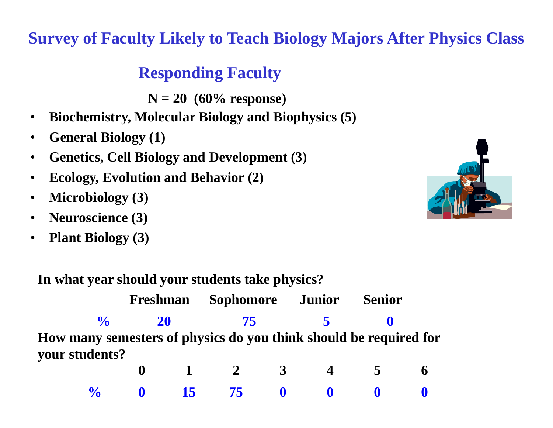#### **Survey of Faculty Likely to Teach Biology Majors After Physics Class**

#### **Responding Faculty**

**N = 20 (60% response)**

- •**Biochemistry, Molecular Biology and Biophysics (5)**
- •**General Biology (1)**
- •**Genetics, Cell Biology and Development (3)**
- •**Ecology, Evolution and Behavior (2)**
- •**Microbiology (3)**
- •**Neuroscience (3)**
- $\bullet$ **Plant Biology (3)**



**In what year should your students take physics?**

|                                                                   | Freshman | <b>Sophomore</b> |    | <b>Junior</b> | <b>Senior</b> |  |
|-------------------------------------------------------------------|----------|------------------|----|---------------|---------------|--|
| $\frac{1}{2}$                                                     | 20       |                  | 75 |               |               |  |
| How many semesters of physics do you think should be required for |          |                  |    |               |               |  |
| your students?                                                    |          |                  |    |               |               |  |
|                                                                   |          |                  |    |               |               |  |

|  |  |  | $\frac{0}{2}$ 0 15 75 0 0 0 0 |  |
|--|--|--|-------------------------------|--|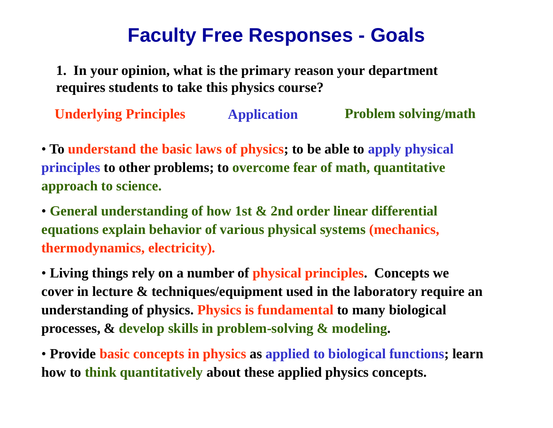## **Faculty Free Responses - Goals**

**1. In your opinion, what is the primary reason your department requires students to take this physics course?**

**Underlying Principles Application Problem solving/math**

• **To understand the basic laws of physics; to be able to apply physical principles to other problems; to overcome fear of math, quantitative approach to science.**

• **General understanding of how 1st & 2nd order linear differential equations explain behavior of various physical systems (mechanics, thermodynamics, electricity).**

• **Living things rely on a number of physical principles. Concepts we cover in lecture & techniques/equipment used in the laboratory require an understanding of physics. Physics is fundamental to many biological processes, & develop skills in problem-solving & modeling.**

• **Provide basic concepts in physics as applied to biological functions; learn how to think quantitatively about these applied physics concepts.**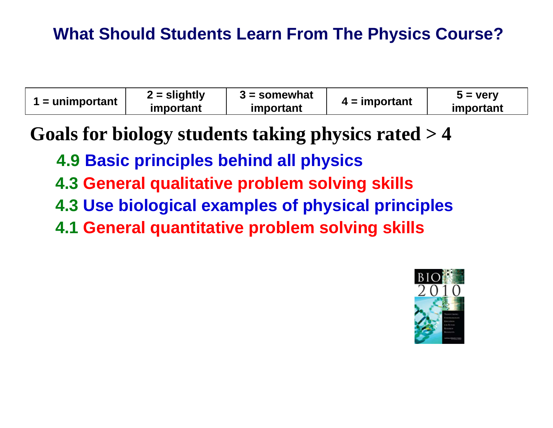### **What Should Students Learn From The Physics Course?**

| $2 =$ slightly<br>$3 =$ somewhat<br>$5 = \text{very}$<br>$\mathbf{v}$ = unimportant<br>$4 =$ important<br>important<br><i>important</i><br>important |  |
|------------------------------------------------------------------------------------------------------------------------------------------------------|--|
|------------------------------------------------------------------------------------------------------------------------------------------------------|--|

**Goals for biology students taking physics rated > 4**

- **4.9 Basic principles behind all physics**
- **4.3 General qualitative problem solving skills**
- **4.3 Use biological examples of physical principles**
- **4.1 General quantitative problem solving skills**

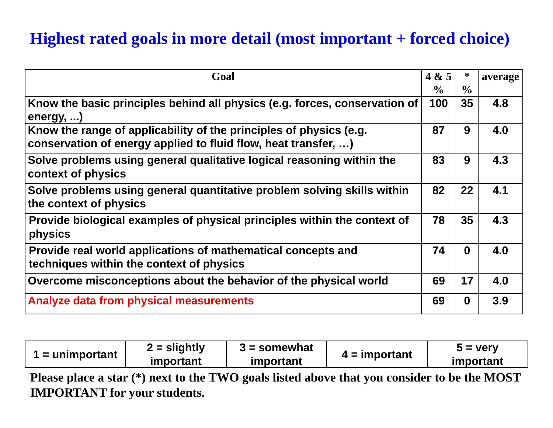#### **Highest rated goals in more detail (most important + forced choice)**

| Goal                                                                                                                                 | 4 & 5         | $\ast$        | average |
|--------------------------------------------------------------------------------------------------------------------------------------|---------------|---------------|---------|
|                                                                                                                                      | $\frac{0}{0}$ | $\frac{0}{0}$ |         |
| Know the basic principles behind all physics (e.g. forces, conservation of<br>energy, )                                              | 100           | 35            | 4.8     |
| Know the range of applicability of the principles of physics (e.g.<br>conservation of energy applied to fluid flow, heat transfer, ) | 87            | 9             | 4.0     |
| Solve problems using general qualitative logical reasoning within the<br>context of physics                                          | 83            | 9             | 4.3     |
| Solve problems using general quantitative problem solving skills within<br>the context of physics                                    | 82            | 22            | 4.1     |
| Provide biological examples of physical principles within the context of<br>physics                                                  | 78            | 35            | 4.3     |
| Provide real world applications of mathematical concepts and<br>techniques within the context of physics                             | 74            | $\bf{0}$      | 4.0     |
| Overcome misconceptions about the behavior of the physical world                                                                     | 69            | 17            | 4.0     |
| Analyze data from physical measurements                                                                                              | 69            | $\mathbf{0}$  | 3.9     |

| $\mathbf{I} =$ unimportant | $2 =$ slightly | $3 =$ somewhat | $4 =$ important | $5 = \text{very}$ |
|----------------------------|----------------|----------------|-----------------|-------------------|
|                            | important      | important      |                 | important         |

**Please place a star (\*) next to the TWO goals listed above that you consider to be the MOST IMPORTANT for your students.**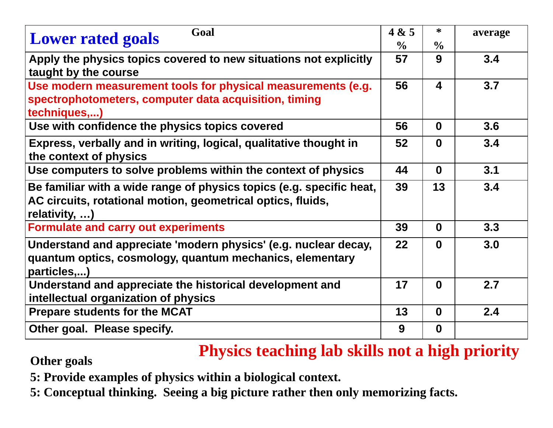| Goal<br><b>Lower rated goals</b>                                                                                                                     | 4 & 5<br>$\frac{6}{9}$ | ∗<br>$\frac{0}{0}$ | average |
|------------------------------------------------------------------------------------------------------------------------------------------------------|------------------------|--------------------|---------|
| Apply the physics topics covered to new situations not explicitly<br>taught by the course                                                            | 57                     | 9                  | 3.4     |
| Use modern measurement tools for physical measurements (e.g.<br>spectrophotometers, computer data acquisition, timing<br>techniques,)                | 56                     | 4                  | 3.7     |
| Use with confidence the physics topics covered                                                                                                       | 56                     | $\bf{0}$           | 3.6     |
| Express, verbally and in writing, logical, qualitative thought in<br>the context of physics                                                          | 52                     | $\bf{0}$           | 3.4     |
| Use computers to solve problems within the context of physics                                                                                        | 44                     | $\mathbf{0}$       | 3.1     |
| Be familiar with a wide range of physics topics (e.g. specific heat,<br>AC circuits, rotational motion, geometrical optics, fluids,<br>relativity, ) | 39                     | 13                 | 3.4     |
| <b>Formulate and carry out experiments</b>                                                                                                           | 39                     | $\bf{0}$           | 3.3     |
| Understand and appreciate 'modern physics' (e.g. nuclear decay,<br>quantum optics, cosmology, quantum mechanics, elementary<br>particles,)           | $22 \,$                | $\bf{0}$           | 3.0     |
| Understand and appreciate the historical development and<br>intellectual organization of physics                                                     | 17                     | $\bf{0}$           | 2.7     |
| <b>Prepare students for the MCAT</b>                                                                                                                 | 13                     | $\bf{0}$           | 2.4     |
| Other goal. Please specify.                                                                                                                          | 9                      | $\mathbf{0}$       |         |

# **Other goals Physics teaching lab skills not a high priority**

- **5: Provide examples of physics within a biological context.**
- **5: Conceptual thinking. Seeing a big picture rather then only memorizing facts.**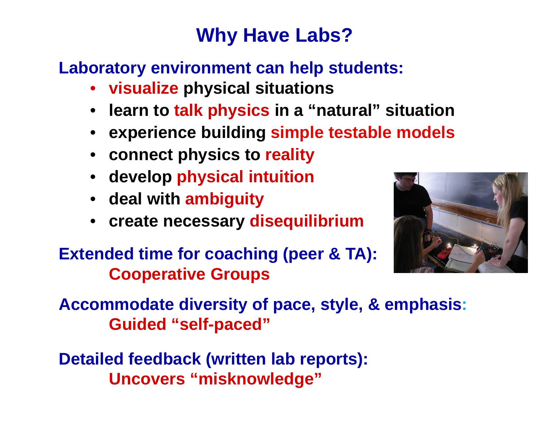# **Why Have Labs?**

### **Laboratory environment can help students:**

- **visualize physical situations**
- **learn to talk physics in a "natural" situation**
- **experience building simple testable models**
- **connect physics to reality**
- **develop physical intuition**
- **deal with ambiguity**
- **create necessary disequilibrium**



**Extended time for coaching (peer & TA): Cooperative Groups**

**Accommodate diversity of pace, style, & emphasis: Guided "self-paced"**

**Detailed feedback (written lab reports): Uncovers "misknowledge"**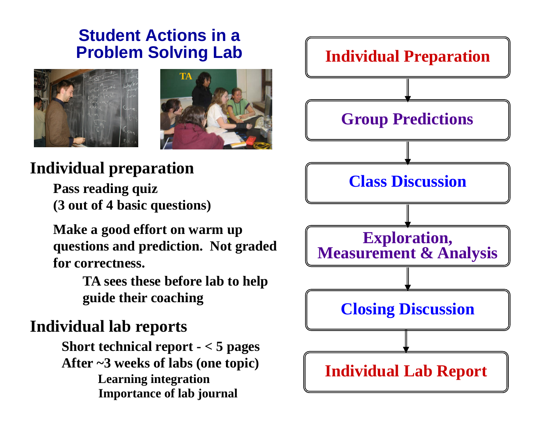# **Student Actions in a**





### **Individual preparation**

**Pass reading quiz (3 out of 4 basic questions)**

**Make a good effort on warm up questions and prediction. Not graded for correctness.**

> **TA sees these before lab to help guide their coaching**

### **Individual lab reports**

**Short technical report - < 5 pages After ~3 weeks of labs (one topic) Learning integration Importance of lab journal**

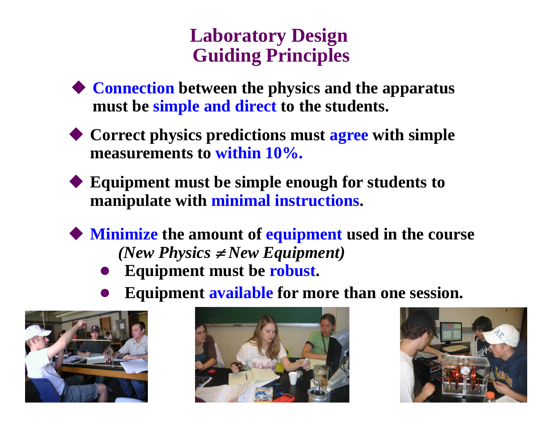### **Laboratory Design Guiding Principles**

- **Connection between the physics and the apparatus must be simple and direct to the students.**
- **Correct physics predictions must agree with simple measurements to within 10%.**
- **Equipment must be simple enough for students to manipulate with minimal instructions.**
- **Minimize the amount of equipment used in the course** *(New Physics*  $\neq$  *New Equipment)* 
	- $\bullet$ **Equipment must be robust.**
	- $\bullet$ **Equipment available for more than one session.**





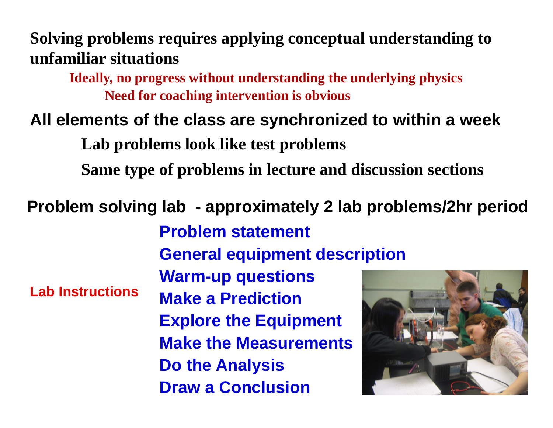### **Solving problems requires applying conceptual understanding to unfamiliar situations**

**Ideally, no progress without understanding the underlying physics Need for coaching intervention is obvious**

### **All elements of the class are synchronized to within a week**

**Lab problems look like test problems**

**Same type of problems in lecture and discussion sections**

### **Problem solving lab - approximately 2 lab problems/2hr period**

**Problem statementGeneral equipment description Warm-up questions Make a PredictionExplore the Equipment Make the MeasurementsDo the Analysis Draw a ConclusionLab Instructions**

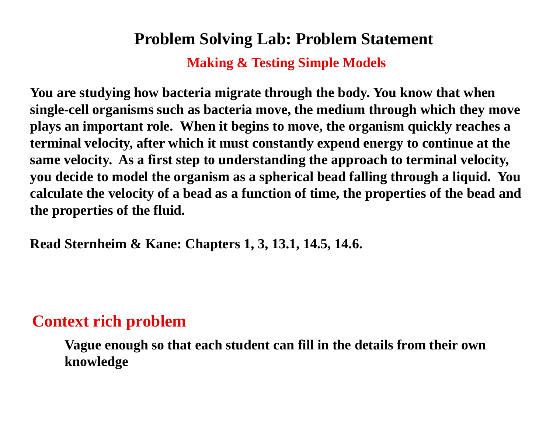#### **Problem Solving Lab: Problem Statement**

**Making & Testing Simple Models**

**You are studying how bacteria migrate through the body. You know that when single-cell organisms such as bacteria move, the medium through which they move plays an important role. When it begins to move, the organism quickly reaches a terminal velocity, after which it must constantly expend energy to continue at the same velocity. As a first step to understanding the approach to terminal velocity, you decide to model the organism as a spherical bead falling through a liquid. You calculate the velocity of a bead as a function of time, the properties of the bead and the properties of the fluid.** 

**Read Sternheim & Kane: Chapters 1, 3, 13.1, 14.5, 14.6.**

#### **Context rich problem**

**Vague enough so that each student can fill in the details from their own knowledge**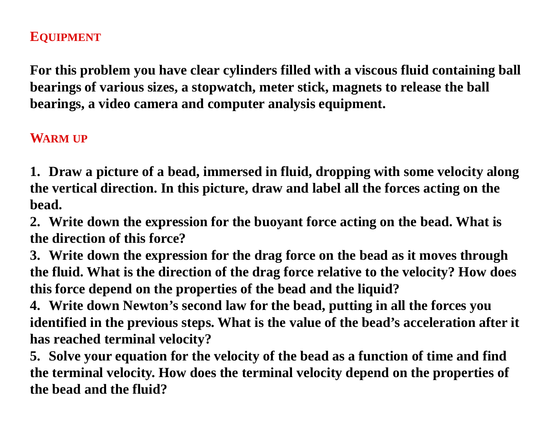#### **EQUIPMENT**

**For this problem you have clear cylinders filled with a viscous fluid containing ball bearings of various sizes, a stopwatch, meter stick, magnets to release the ball bearings, a video camera and computer analysis equipment.**

#### **WARM UP**

**1. Draw a picture of a bead, immersed in fluid, dropping with some velocity along the vertical direction. In this picture, draw and label all the forces acting on the bead.**

**2. Write down the expression for the buoyant force acting on the bead. What is the direction of this force?**

**3. Write down the expression for the drag force on the bead as it moves through the fluid. What is the direction of the drag force relative to the velocity? How does this force depend on the properties of the bead and the liquid?**

**4. Write down Newton's second law for the bead, putting in all the forces you identified in the previous steps. What is the value of the bead's acceleration after it has reached terminal velocity?**

**5. Solve your equation for the velocity of the bead as a function of time and find the terminal velocity. How does the terminal velocity depend on the properties of the bead and the fluid?**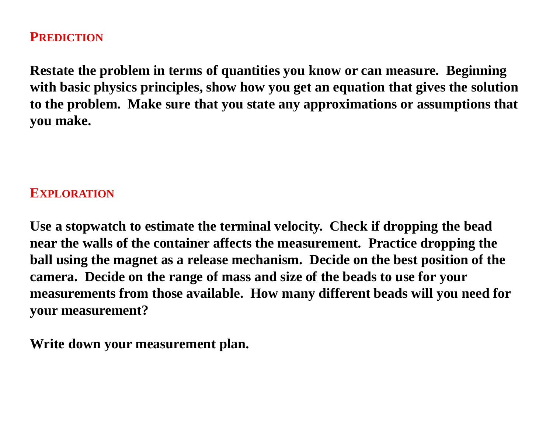#### **PREDICTION**

**Restate the problem in terms of quantities you know or can measure. Beginning with basic physics principles, show how you get an equation that gives the solution to the problem. Make sure that you state any approximations or assumptions that you make.** 

#### **EXPLORATION**

**Use a stopwatch to estimate the terminal velocity. Check if dropping the bead near the walls of the container affects the measurement. Practice dropping the ball using the magnet as a release mechanism. Decide on the best position of the camera. Decide on the range of mass and size of the beads to use for your measurements from those available. How many different beads will you need for your measurement?**

**Write down your measurement plan.**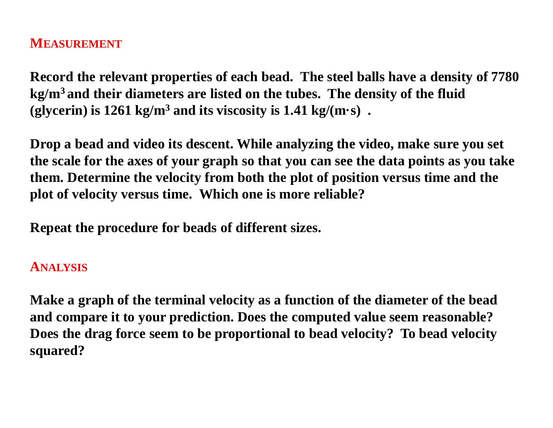#### **MEASUREMENT**

**Record the relevant properties of each bead. The steel balls have a density of 7780 kg/m3 and their diameters are listed on the tubes. The density of the fluid (glycerin) is 1261 kg/m3 and its viscosity is 1.41 kg/(m·s) .**

**Drop a bead and video its descent. While analyzing the video, make sure you set the scale for the axes of your graph so that you can see the data points as you take them. Determine the velocity from both the plot of position versus time and the plot of velocity versus time. Which one is more reliable?**

**Repeat the procedure for beads of different sizes.**

#### **ANALYSIS**

**Make a graph of the terminal velocity as a function of the diameter of the bead and compare it to your prediction. Does the computed value seem reasonable? Does the drag force seem to be proportional to bead velocity? To bead velocity squared?**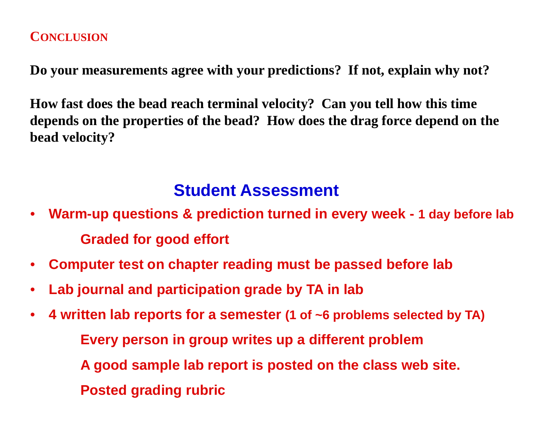#### **CONCLUSION**

**Do your measurements agree with your predictions? If not, explain why not?**

**How fast does the bead reach terminal velocity? Can you tell how this time depends on the properties of the bead? How does the drag force depend on the bead velocity?**

#### **Student Assessment**

- • **Warm-up questions & prediction turned in every week - 1 day before lab Graded for good effort**
- $\bullet$ **Computer test on chapter reading must be passed before lab**
- $\bullet$ **Lab journal and participation grade by TA in lab**
- $\bullet$  **4 written lab reports for a semester (1 of ~6 problems selected by TA) Every person in group writes up a different problem A good sample lab report is posted on the class web site. Posted grading rubric**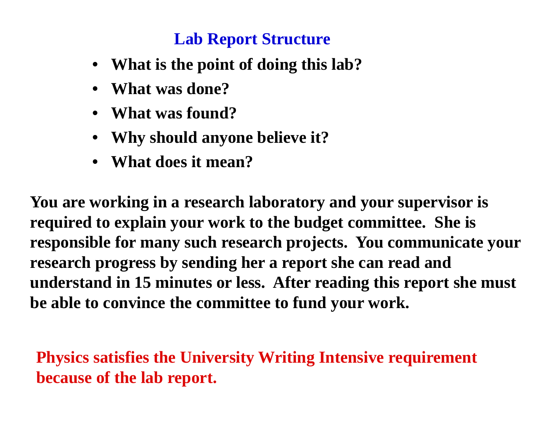#### **Lab Report Structure**

- **What is the point of doing this lab?**
- **What was done?**
- **What was found?**
- **Why should anyone believe it?**
- **What does it mean?**

**You are working in a research laboratory and your supervisor is required to explain your work to the budget committee. She is responsible for many such research projects. You communicate your research progress by sending her a report she can read and understand in 15 minutes or less. After reading this report she must be able to convince the committee to fund your work.**

**Physics satisfies the University Writing Intensive requirement because of the lab report.**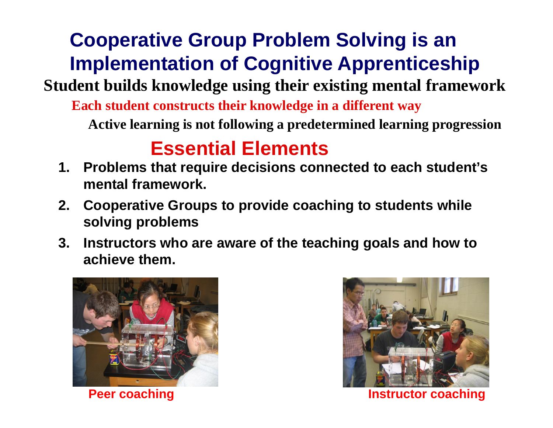# **Cooperative Group Problem Solving is an Implementation of Cognitive Apprenticeship**

**Student builds knowledge using their existing mental framework** 

**Each student constructs their knowledge in a different way**

**Active learning is not following a predetermined learning progression**

## **Essential Elements**

- **1. Problems that require decisions connected to each student's mental framework.**
- **2. Cooperative Groups to provide coaching to students while solving problems**
- **3. Instructors who are aware of the teaching goals and how to achieve them.**





**Peer coaching Instructor coaching**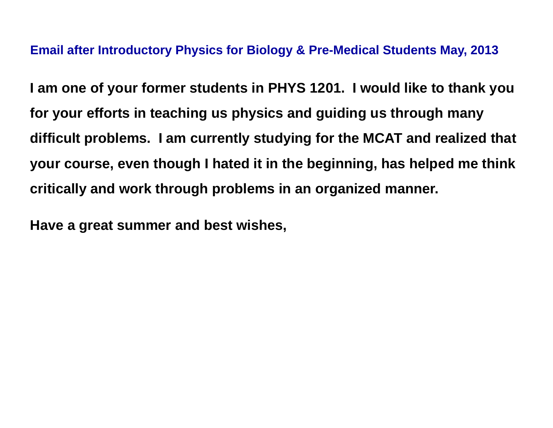#### **Email after Introductory Physics for Biology & Pre-Medical Students May, 2013**

**I am one of your former students in PHYS 1201. I would like to thank you for your efforts in teaching us physics and guiding us through many difficult problems. I am currently studying for the MCAT and realized that your course, even though I hated it in the beginning, has helped me think critically and work through problems in an organized manner.**

**Have a great summer and best wishes,**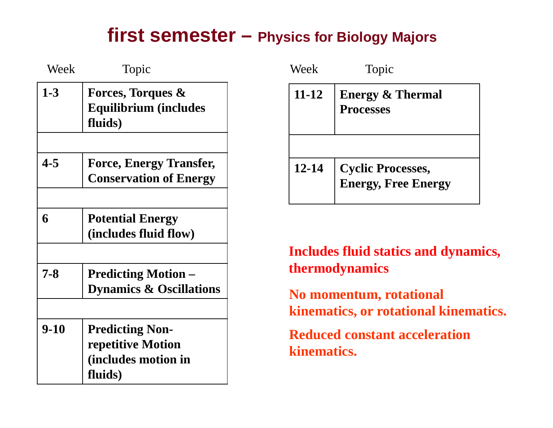### **first semester – Physics for Biology Majors**

| Week     | Topic                                                                         | Week        | Topic                                                                                        |
|----------|-------------------------------------------------------------------------------|-------------|----------------------------------------------------------------------------------------------|
| $1-3$    | Forces, Torques &<br><b>Equilibrium (includes</b><br>fluids)                  | $11 - 12$   | <b>Energy &amp;</b><br><b>Processes</b>                                                      |
| $4 - 5$  | <b>Force, Energy Transfer,</b><br><b>Conservation of Energy</b>               | $12 - 14$   | <b>Cyclic Pro</b><br><b>Energy, F</b>                                                        |
| 6        | <b>Potential Energy</b><br>(includes fluid flow)                              |             |                                                                                              |
| $7 - 8$  | <b>Predicting Motion –</b><br><b>Dynamics &amp; Oscillations</b>              |             | <b>Includes fluid stat</b><br><b>thermodynamics</b><br>No momentum, ro<br>kinematics, or rot |
| $9 - 10$ | <b>Predicting Non-</b><br>repetitive Motion<br>(includes motion in<br>fluids) | kinematics. | <b>Reduced constant</b>                                                                      |

| Week      | Topic                                                  |
|-----------|--------------------------------------------------------|
| $11 - 12$ | <b>Energy &amp; Thermal</b><br><b>Processes</b>        |
|           |                                                        |
| 12-14     | <b>Cyclic Processes,</b><br><b>Energy, Free Energy</b> |

**Includes fluid statics and dynamics, thermodynamics**

**No momentum, rotational kinematics, or rotational kinematics.** 

**Reduced constant acceleration kinematics.**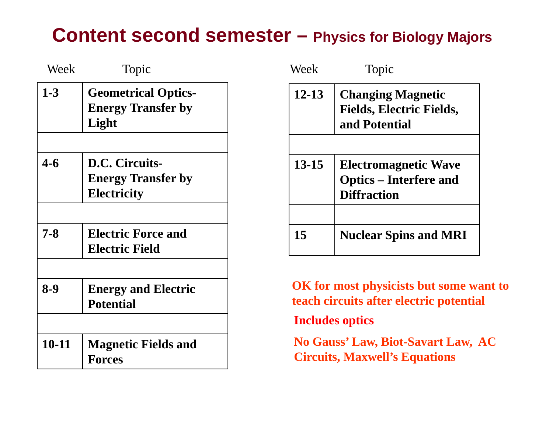### **Content second semester – Physics for Biology Majors**

| Week      | Topic                                                             | Week                                                                            | Topic                                                  |
|-----------|-------------------------------------------------------------------|---------------------------------------------------------------------------------|--------------------------------------------------------|
| $1-3$     | <b>Geometrical Optics-</b><br><b>Energy Transfer by</b><br>Light  | $12 - 13$                                                                       | <b>Changing</b><br>Fields, Ele<br>and Poten            |
| $4 - 6$   | D.C. Circuits-<br><b>Energy Transfer by</b><br><b>Electricity</b> | $13 - 15$                                                                       | <b>Electroma</b><br>$Optics - I$<br><b>Diffraction</b> |
| $7 - 8$   | <b>Electric Force and</b><br><b>Electric Field</b>                | 15                                                                              | <b>Nuclear S</b>                                       |
| $8-9$     | <b>Energy and Electric</b><br><b>Potential</b>                    |                                                                                 | <b>OK</b> for most physic<br>teach circuits after      |
| $10 - 11$ | <b>Magnetic Fields and</b><br><b>Forces</b>                       | <b>Includes optics</b><br><b>No Gauss' Law, Bi</b><br><b>Circuits, Maxwell'</b> |                                                        |

| Week      | Topic                                                                              |
|-----------|------------------------------------------------------------------------------------|
| $12 - 13$ | <b>Changing Magnetic</b><br><b>Fields, Electric Fields,</b><br>and Potential       |
| $13 - 15$ | <b>Electromagnetic Wave</b><br><b>Optics</b> – Interfere and<br><b>Diffraction</b> |
| 15        | <b>Nuclear Spins and MRI</b>                                                       |

**OK for most physicists but some want to teach circuits after electric potential**

**No Gauss' Law, Biot-Savart Law, AC Circuits, Maxwell's Equations**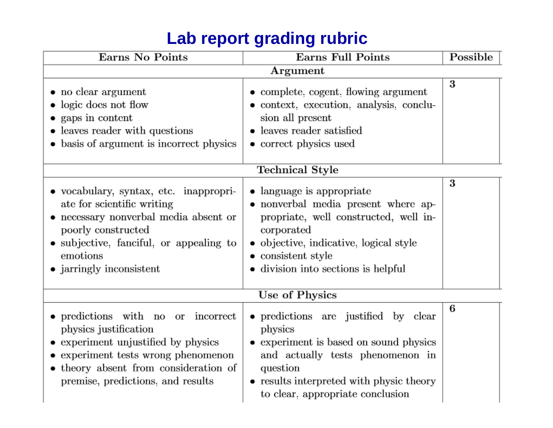|  | Lab report grading rubric |  |  |
|--|---------------------------|--|--|
|--|---------------------------|--|--|

| Earns No Points                                                                                                                                                                                                                  | <b>Earns Full Points</b>                                                                                                                                                                                                   | Possible |
|----------------------------------------------------------------------------------------------------------------------------------------------------------------------------------------------------------------------------------|----------------------------------------------------------------------------------------------------------------------------------------------------------------------------------------------------------------------------|----------|
|                                                                                                                                                                                                                                  | Argument                                                                                                                                                                                                                   |          |
| • no clear argument<br>• logic does not flow<br>• gaps in content<br>• leaves reader with questions<br>• basis of argument is incorrect physics                                                                                  | • complete, cogent, flowing argument<br>• context, execution, analysis, conclu-<br>sion all present<br>leaves reader satisfied<br>• correct physics used                                                                   | 3        |
|                                                                                                                                                                                                                                  | Technical Style                                                                                                                                                                                                            |          |
| • vocabulary, syntax, etc. inappropri-<br>ate for scientific writing<br>$\bullet\,$ necessary nonverbal media absent or<br>poorly constructed<br>• subjective, fanciful, or appealing to<br>emotions<br>• jarringly inconsistent | • language is appropriate<br>• nonverbal media present where ap-<br>propriate, well constructed, well in-<br>corporated<br>• objective, indicative, logical style<br>consistent style<br>division into sections is helpful | 3        |
|                                                                                                                                                                                                                                  | Use of Physics                                                                                                                                                                                                             |          |
| • predictions with no or incorrect<br>physics justification<br>• experiment unjustified by physics<br>• experiment tests wrong phenomenon<br>• theory absent from consideration of<br>premise, predictions, and results          | • predictions are justified by clear<br>physics<br>experiment is based on sound physics<br>and actually tests phenomenon in<br>question<br>• results interpreted with physic theory<br>to clear, appropriate conclusion    | 6        |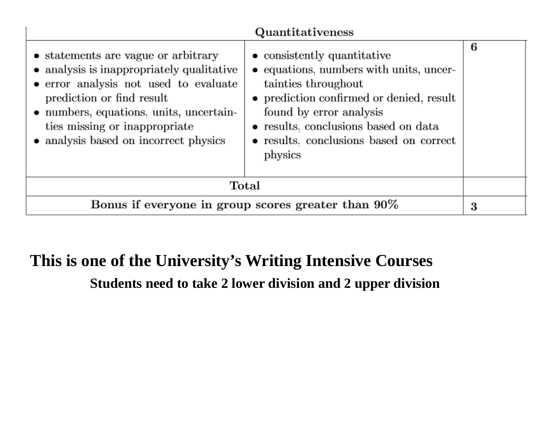| Quantitativeness                                                                                                                                                                                                                                                            |                                                                                                                                                                                                                                                                    |   |  |  |  |
|-----------------------------------------------------------------------------------------------------------------------------------------------------------------------------------------------------------------------------------------------------------------------------|--------------------------------------------------------------------------------------------------------------------------------------------------------------------------------------------------------------------------------------------------------------------|---|--|--|--|
| • statements are vague or arbitrary<br>• analysis is inappropriately qualitative<br>• error analysis not used to evaluate<br>prediction or find result<br>• numbers, equations, units, uncertain-<br>ties missing or inappropriate<br>• analysis based on incorrect physics | • consistently quantitative<br>• equations, numbers with units, uncer-<br>tainties throughout<br>• prediction confirmed or denied, result<br>found by error analysis<br>• results, conclusions based on data<br>• results. conclusions based on correct<br>physics | 6 |  |  |  |
| Total                                                                                                                                                                                                                                                                       |                                                                                                                                                                                                                                                                    |   |  |  |  |
| Bonus if everyone in group scores greater than 90%                                                                                                                                                                                                                          |                                                                                                                                                                                                                                                                    |   |  |  |  |

### **This is one of the University's Writing Intensive Courses**

**Students need to take 2 lower division and 2 upper division**